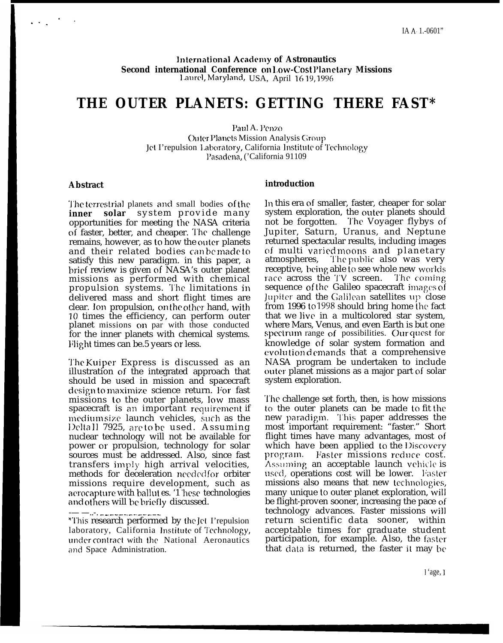International Academy of Astronautics Second international Conference on Low-Cost Planetary Missions Laurel, Maryland, USA, April 1619, 1996

# THE OUTER PLANETS: GETTING THERE FAST\*

Paul A. Penzo **Outer Planets Mission Analysis Group** Jet I'repulsion Laboratory, California Institute of Technology Pasadena, ('California 91109

#### **Abstract**

The terrestrial planets and small bodies of the inner solar system provide many opportunities for meeting the NASA criteria of faster, better, and cheaper. The challenge remains, however, as to how the outer planets and their related bodies can be made to satisfy this new paradigm. in this paper, a brief review is given of NASA's outer planet missions as performed with chemical propulsion systems. The limitations in delivered mass and short flight times are clear. Ion propulsion, on the other hand, with 10 times the efficiency, can perform outer planet missions on par with those conducted for the inner planets with chemical systems. Flight times can be.5 years or less.

The Kuiper Express is discussed as an illustration of the integrated approach that should be used in mission and spacecraft design to maximize science return. For fast missions to the outer planets, low mass spacecraft is an important requirement if medium size launch vehicles, such as the Deltall 7925, are to be used. Assuming nuclear technology will not be available for power or propulsion, technology for solar sources must be addressed. Also, since fast transfers imply high arrival velocities, methods for deceleration neededfor orbiter missions require development, such as aerocapture with ballut es. '1 hese technologies and others will be briefly discussed.

#### introduction

In this era of smaller, faster, cheaper for solar system exploration, the outer planets should not be forgotten. The Voyager flybys of Jupiter, Saturn, Uranus, and Neptune returned spectacular results, including images of multi varied moons and planetary The public also was very atmospheres, receptive, being able to see whole new worlds race across the TV screen. The coming sequence of the Galileo spacecraft images of Jupiter and the Galilean satellites up close from 1996 to 1998 should bring home the fact that we live in a multicolored star system, where Mars, Venus, and even Earth is but one spectrum range of possibilities. Our quest for knowledge of solar system formation and evolution demands that a comprehensive NASA program be undertaken to include outer planet missions as a major part of solar system exploration.

The challenge set forth, then, is how missions to the outer planets can be made to fit the new paradigm. This paper addresses the most important requirement: "faster." Short flight times have many advantages, most of which have been applied to the Discovery program. Faster missions reduce cost. Assuming an acceptable launch vehicle is used, operations cost will be lower. Faster missions also means that new technologies, many unique to outer planet exploration, will be flight-proven sooner, increasing the pace of technology advances. Faster missions will return scientific data sooner, within acceptable times for graduate student participation, for example. Also, the faster that data is returned, the faster it may be

<sup>-..-. &</sup>lt;u>...............</u>... \*This research performed by the Jet I'repulsion laboratory, California Institute of Technology, under contract with the National Aeronautics and Space Administration.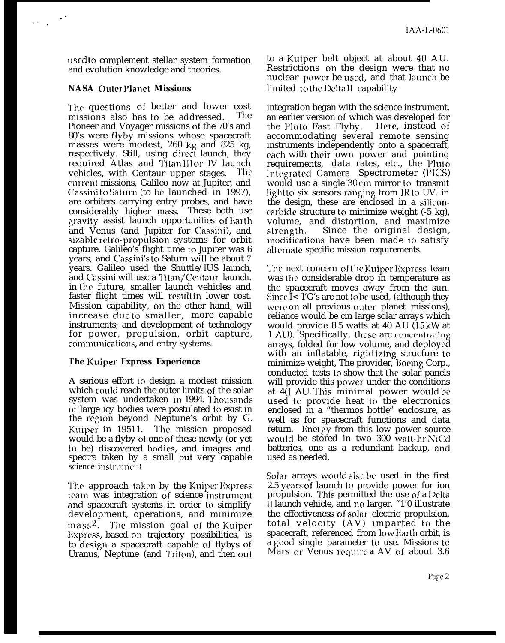used to complement stellar system formation and evolution knowledge and theories.

### **NASA OuterPlanet Missions**

. .

.,.

'1'he questions of better and lower cost missions also has to be addressed. The Pioneer and Voyager missions of the 70's and 80's were flyby missions whose spacecraft masses were modest, 260 kg and 825 kg, respectively. Still, using direct launch, they required Atlas and Titan III or IV launch vehicles, with Centaur upper stages. The current missions, Galileo now at Jupiter, and Cassini to Saturn (to be launched in 1997), are orbiters carrying entry probes, and have considerably higher mass. These both use gravity assist launch opportunities of Earth and Venus (and Jupiter for Cassini), and sizable retro-propulsion systems for orbit capture. Galileo's flight time to Jupiter was 6 years, and Cassini's to Saturn will be about 7 years. Galileo used the Shuttle/lUS launch, and Cassini will usc a Titan/Centaur launch. in the future, smaller launch vehicles and faster flight times will result in lower cost. Mission capability, on the other hand, will increase due to smaller, more capable instruments; and development of technology for power, propulsion, orbit capture, communications, and entry systems.

### **The Kuiper Express Experience**

A serious effort to design a modest mission which could reach the outer limits of the solar system was undertaken in 1994. Thousands of large icy bodies were postulated to exist in the region beyond Neptune's orbit by G. Kuiper in 19511. The mission proposed would be a flyby of one of these newly (or yet to be) discovered bodies, and images and spectra taken by a small but very capable science instrument.

The approach taken by the Kuiper Express team was integration of science instrument and spacecraft systems in order to simplify development, operations, and minimize mass<sup>2</sup>. The mission goal of the Kuiper Express, based on trajectory possibilities, is to design a spacecraft capable of flybys of Uranus, Neptune (and Triton), and then out

to a Kuiper belt object at about 40 AU. Restrictions on the design were that no nuclear power be used, and that launch be limited to the Delta II capability.

integration began with the science instrument, an earlier version of which was developed for<br>the Pluto Fast Flyby. Here, instead of the Pluto Fast Flyby. accommodating several remote sensing instruments independently onto a spacecraft, rach with their own power and pointing requirements, data rates, etc., the Pluto Integrated Camera Spectrometer (PICS) would usc a single 30 cm mirror to transmit light to six sensors ranging from  $R$  to UV. in the design, these are enclosed in a siliconcarbide structure to minimize weight (-5 kg), volume, and distortion, and maximize strength. Since the original design, modifications have been made to satisfy alt crnate specific mission requirements.

The next concern of the Kuiper Express team was the considerable drop in temperature as the spacecraft moves away from the sun. Since I< 'l'G's are not to be used, (although they were on all previous outer planet missions), reliance would be cm large solar arrays which would provide 8.5 watts at 40 AU (15 kW at 1 AU). Specifically, these arc concentrating arrays, folded for low volume, and deployed with an inflatable, rigid izing structure to minimize weight, The provider, Boeing Corp., conducted tests to show that the solar panels will provide this power under the conditions at 4(J ALJ. '1'his minimal power would be used to provide heat to the electronics enclosed in a "thermos bottle" enclosure, as well as for spacecraft functions and data return. Energy from this low power source would be stored in two 300 watt-hr NiCd batteries, one as a redundant backup, and used as needed.

Solar arrays would also be used in the first 2.5 years of launch to provide power for ion propulsion. This permitted the use of a Delta 11 launch vehicle, and no larger. "1'0 illustrate the effectiveness of solar electric propulsion, total velocity (AV) imparted to the spacecraft, referenced from low Harth orbit, is a good single parameter to use. Missions to Mars or Venus require **a** AV of about 3.6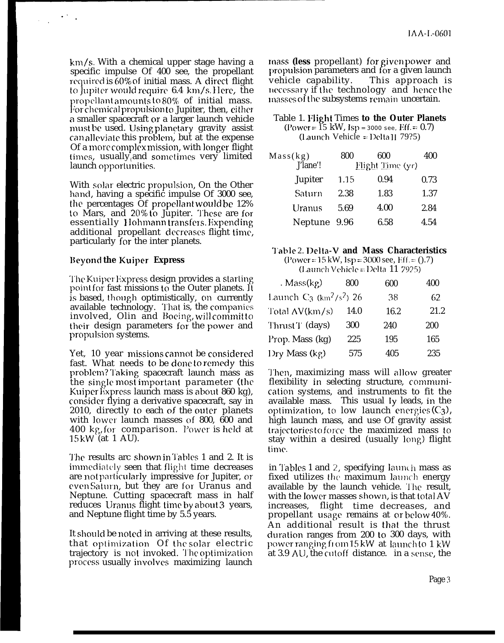$km/s$ . With a chemical upper stage having a specific impulse Of 400 see, the propellant required is  $60\%$  of initial mass. A direct flight to Jupiter wmld require 6.4 km/s, lIcre, the propellant amounts to  $80\%$  of initial mass. For chemical propulsion to Jupiter, then, either a smaller spacecraft or a larger launch vehicle must be used. Using planetary gravity assist can alleviate this problem, but at the expense Of a more complex mission, with longer flight times, usually and sometimes very limited launch opportunities.

With solar electric propulsion, On the Other hand, having a specific impulse Of 3000 see, the percentages Of propellant would be 12% to Mars, and 20% to Jupiter. These are for essentially Hohmann transfers. Expending additional propellant dccreascs flight time, particularly for the inter planets.

#### Beymd **the Kuiper Express**

The Kuiper Express design provides a starting point for fast missions to the Outer planets. It is based, though optimistically, on currently available technology. That is, the companies involved, Olin and Boeing, will commit to their design parameters for the power and propulsion systems.

Yet, 10 year missions cannot be considered fast. What needs to be done to remedy this problem? Taking spacecraft launch mass as the single most important parameter (the Kuiper Express launch mass is about 860 kg), consider flying a derivative spacecraft, say in 2010, directly to each of the outer planets with lower launch masses of 800, 600 and 400 kg, for comparison. Power is held at 15 kW (at 1 AU).

The results arc shown in Tables 1 and 2. It is immediately seen that flight time decreases are not particularly impressive for Jupiter, or even Saturn, but they are for Uranus and Neptune. Cutting spacecraft mass in half reduces Uranus flight time by about 3 years, and Neptune flight time by 5.5 years.

It should be noted in arriving at these results, that optimization Of the solar electric trajectory is not invoked. The optimization process usually involves maximizing launch

**Inass (less propellant)** for given power and propulsion parameters and for a given launch vehicle capability. This approach is necessary if the technology and hence the ]nasses of the subsystems remain uncertain.

Table 1. I'light Times **to the Outer Planets**  $(Power = 15 \text{ kW}, \text{Isp} = 3000 \text{ sec}, \text{Eff} = 0.7)$ (launch Vehicle = I)clta 11 79?5)

| Mass(kg)<br>J'lane'! | 800  | 600<br><b>Flight Time (yr)</b> | 400  |
|----------------------|------|--------------------------------|------|
| <b>Jupiter</b>       | 1.15 | 0.94                           | 0.73 |
| Saturn               | 2.38 | 1.83                           | 1.37 |
| Uranus               | 5.69 | 4.00                           | 2.84 |
| Neptune              | 9.96 | 6.58                           | 4.54 |

# **~'able** 2. **Iklta-V and Mass Characteristics**

 $(Power = 15 kW, Isp = 3000$  see,  $Fff = (0.7)$  $(La$ unch Vchicle = Delta 11 7925)

| . $Mass(kg)$                                       | 800  | 600  | 400  |
|----------------------------------------------------|------|------|------|
| Launch $C_3$ (km <sup>2</sup> /s <sup>2</sup> ) 26 |      | 38   | 62   |
| Total AV(km/s)                                     | 14.0 | 16.2 | 21.2 |
| Thrust T (days)                                    | 300  | 240  | 200  |
| Prop. Mass (kg)                                    | 225  | 195  | 165  |
| Dry Mass (kg)                                      | 575  | 405  | 235  |

Then, maximizing mass will allow greater flexibility in selecting structure, communication systems, and instruments to fit the available mass. This usual Iy leads, in the optimization, to low launch energies  $(C_3)$ , high launch mass, and use Of gravity assist trajectories to force the maximized mass to stay within a desired (usually long) flight time.

in Tables 1 and 2, specifying launch mass as fixed utilizes the maximum launch energy available by the launch vehicle. '1'he result, with the lower masses shown, is that total AV increases, flight time decreases, and propellant usage remains at or below 40%. An additional result is that the thrust duration ranges from 200 to 300 days, with power ranging from 15 kW-at-launch to 1 kW at 3.9 AU, the cutoff distance.) in a sense, the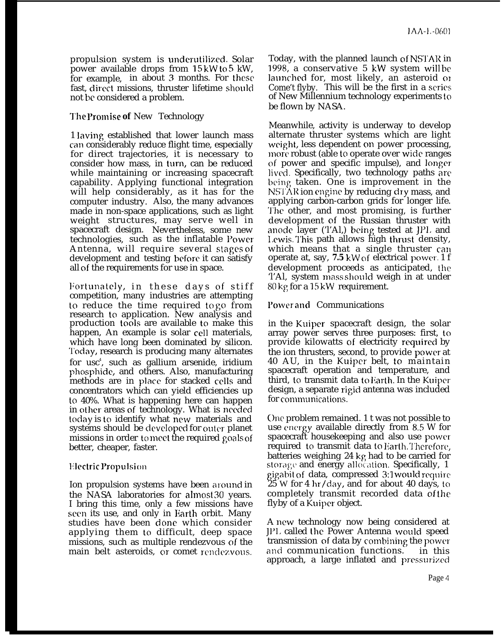propulsion system is underutilized. Solar power available drops from 15 kW to 5 kW, for example, in about 3 months. For these fast, direct missions, thruster lifetime should not bc considered a problem.

### ~'he **l'romise of** New Technology

1 laving established that lower launch mass can considerably reduce flight time, especially for direct trajectories, it is necessary to consider how mass, in turn, can be reduced while maintaining or increasing spacecraft capability. Applying functional integration will help considerably, as it has for the computer industry. Also, the many advances made in non-space applications, such as light weight structures, may serve well in spacecraft design. Nevertheless, some new technologies, such as the inflatable Power Antenna, will require several stages of development and testing before it can satisfy all of the requirements for use in space.

Fortunately, in these days of stiff competition, many industries are attempting to reduce the time required to go from research to application. New analysis and production tools are available to make this happen, An example is solar cell materials, which have long been dominated by silicon. '1'oday, research is producing many alternates for usc<sup>4</sup>, such as gallium arsenide, iridium phosphidc, and others. Also, manufacturing methods are in place for stacked cells and concentrators which can yield efficiencies up to 40%. What is happening here can happen in other areas of technology. What is needed today is to identify what new materials and systems should be developed for outer planet missions in order to meet the required goals of better, cheaper, faster.

### Electric Propulsion

Ion propulsion systems have been around in the NASA laboratories for almost 30 years. I bring this time, only a few missions have seen its use, and only in Earth orbit. Many studies have been done which consider applying them to difficult, deep space missions, such as multiple rendezvous of the main belt asteroids, or comet rendezvous.

Today, with the planned launch of NSTAR in 1998, a conservative 5 kW system will be launched for, most likely, an asteroid or Come't flyby. This will be the first in a series of New Millennium technology experiments to be flown by NASA.

Meanwhile, activity is underway to develop alternate thruster systems which are light weight, less dependent on power processing, more robust (able to operate over wide ranges of power and specific impulse), and longer lived. Specifically, two technology paths arc being taken. One is improvement in the NSTAR ion engine by reducing dry mass, and applying carbon-carbon grids for longer life. '1'hc other, and most promising, is further development of the Russian thruster with anode layer  $(TA)$ , being tested at  $JPL$  and 1,ewis. This path allows high thrust density, which means that a single thruster can operate at, say, **7.5** kW of electrical power. 1 f development proceeds as anticipated, the 'l'Al, system mass should weigh in at under  $80 \text{ kg}$  for a 15 kW requirement.

# I'ower and Communications

in the Kuiper spacecraft design, the solar array power serves three purposes: first, to provide kilowatts of electricity required by the ion thrusters, second, to provide power at 40 AU, in the Kuiper belt, to maintain spacecraft operation and temperature, and third, to transmit data to Earth. In the Kuiper design, a separate rigid antenna was included for communications.

Onc problem remained. 1 t was not possible to use energy available directly from 8.5 W for spacecraft housekeeping and also use power required to transmit data to Earth. Therefore, batteries weighing 24 kg had to be carried for storage and energy allocation. Specifically, 1 gigabit of data, compressed 3:1 would require 25 W for 4 hr/day, and for about 40 days, to completely transmit recorded data of the flyby of a Kuipcr object.

A new technology now being considered at J1)I, called the Power Antenna would speed transmission of data by combining the power and communication functions. in this approach, a large inflated and pressurized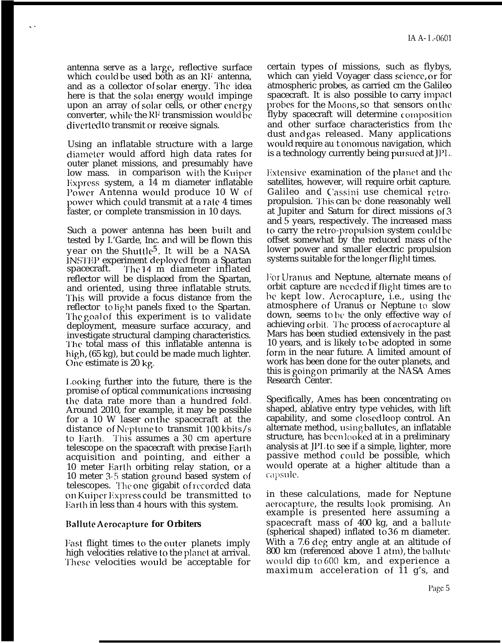antenna serve as a large, reflective surface which could be used both as an RF antenna, and as a collector of solar energy. The idea here is that the solar energy would impinge upon an array of solar cells, or other energy converter, while the RF transmission would be diverted to transmit or receive signals.

. .

Using an inflatable structure with a large cliamcter would afford high data rates for outer planet missions, and presumably have low mass. in comparison with the Kuipcr Express system, a  $14$  m diameter inflatable l'ower Antenna would produce 10 W of power which could transmit at a rate 4 times faster, or complete transmission in 10 days.

Such a power antenna has been built and tested by I.'Garde, Inc. and will be flown this year on the Shuttle5. It will be a NASA INSTEP experiment deployed from a Spartan spacecraft. The 14 m diameter inflated The 14 m diameter inflated reflector will be displaced from the Spartan, and oriented, using three inflatable struts. This will provide a focus distance from the reflector to light panels fixed to the Spartan. The goal of this experiment is to validate deployment, measure surface accuracy, and investigate structural clamping characteristics. '1'he total mass of this inflatable antenna is high, (65 kg), but could be made much lighter. C)ne estimate is 20 kg.

Looking further into the future, there is the promise of optical communications increasing the data rate more than a hundred fold. Around 2010, for example, it may be possible for a 10 W laser on the spacecraft at the distance of Neptune to transmit  $100 \, \text{kbits/s}$ to Earth. This assumes a 30 cm aperture telescope cm the spacecraft with precise Earth acquisition and pointing, and either a 10 meter Harth orbiting relay station, or a 10 meter 3-5 station ground based system of telescopes. The one gigabit of recorded data on Kuipcr lixpress could be transmitted to Harth in less than 4 hours with this system.

### **Ilal]ute Aerocapture for Orbiters**

Fast flight times to the outer planets imply high velocities relative to the planet at arrival. '1'hcsc velocities would be acceptable for certain types of missions, such as flybys, which can yield Voyager class science, or for atmospheric probes, as carried cm the Galileo spacecraft. It is also possible to carry impaci probes for the Moons, so that sensors on the flyby spacecraft will determine composition and other surface characteristics from the dust and gas released. Many applications would require au t onomous navigation, which is a technology currently being pursued at  $JPI$ .

Extensive examination of the planet and the satellites, however, will require orbit capture. Galileo and Cassini use chemical retro propulsion. 'J'his can be done reasonably well at Jupiter and Saturn for direct missions of 3 and 5 years, respectively. The increased mass to carry the retro-propulsion system could be offset somewhat by the reduced mass of the lower power and smaller electric propulsion systems suitable for the longer flight times.

For Uranus and Neptune, alternate means of orbit capture are needed if flight times are to be kept low. Aerocapture, i.e., using the atmosphere of Uranus or Neptune to slow down, seems to bc the only effective way of achieving orbit. The process of aerocapture al Mars has been studied extensively in the past 10 years, and is likely to be adopted in some form in the near future. A limited amount of work has been done for the outer planets, and this is going on primarily at the NASA Ames Research Center.

Specifically, Ames has been concentrating on shaped, ablative entry type vehicles, with lift capability, and some closed loop control. An alternate method, using ballutes, an inflatable structure, has becm looked at in a preliminary analysis at  $JPL$  to see if a simple, lighter, more passive method could be possible, which would operate at a higher altitude than a capsule.

in these calculations, made for Neptune aerocapture, the results look promising. An example is presented here assuming a spacecraft mass of 400 kg, and a ballute (spherical shaped) inflated to 36 m diameter. With a 7.6 deg entry angle at an altitude of 800 km (referenced above 1 atm), the ballute would dip to 600 km, and experience a maximum acceleration of 11 g's, and